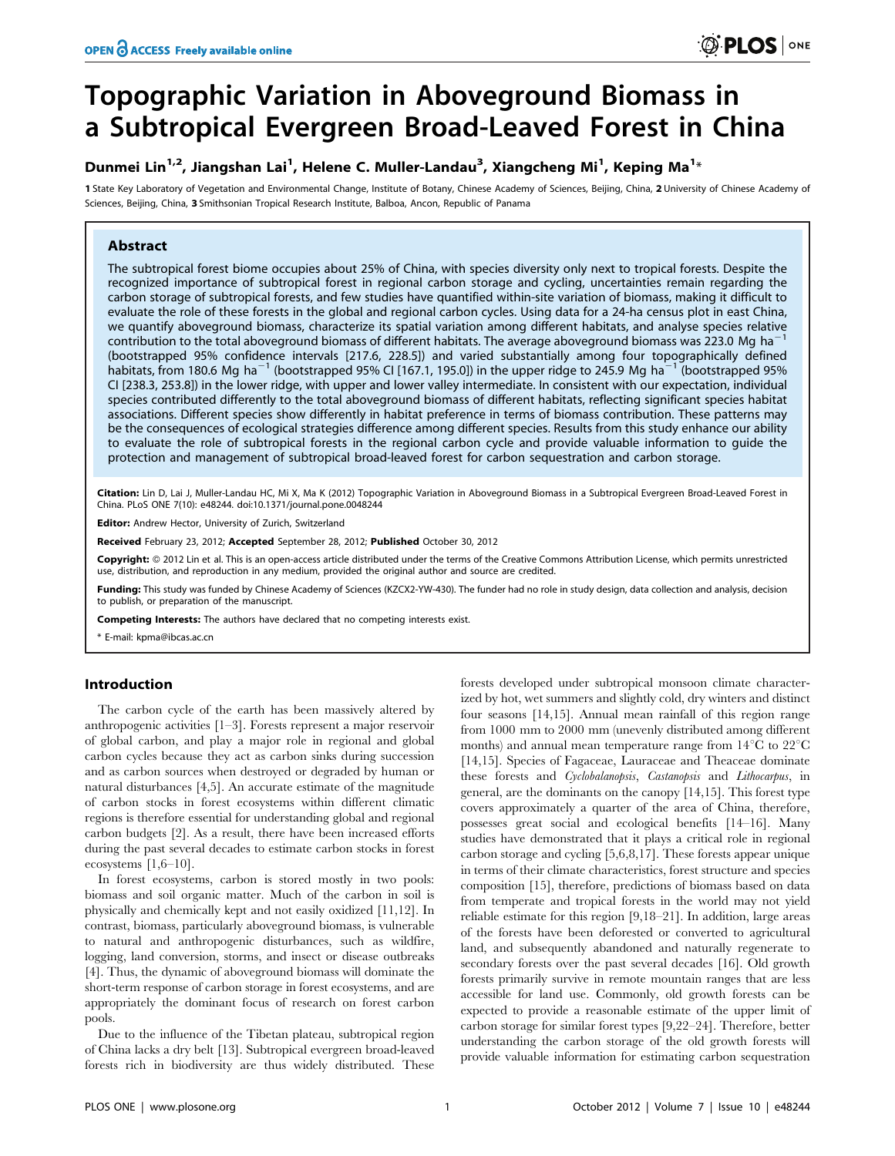# Topographic Variation in Aboveground Biomass in a Subtropical Evergreen Broad-Leaved Forest in China

# Dunmei Lin<sup>1,2</sup>, Jiangshan Lai<sup>1</sup>, Helene C. Muller-Landau<sup>3</sup>, Xiangcheng Mi<sup>1</sup>, Keping Ma<sup>1</sup>\*

1 State Key Laboratory of Vegetation and Environmental Change, Institute of Botany, Chinese Academy of Sciences, Beijing, China, 2 University of Chinese Academy of Sciences, Beijing, China, 3 Smithsonian Tropical Research Institute, Balboa, Ancon, Republic of Panama

# Abstract

The subtropical forest biome occupies about 25% of China, with species diversity only next to tropical forests. Despite the recognized importance of subtropical forest in regional carbon storage and cycling, uncertainties remain regarding the carbon storage of subtropical forests, and few studies have quantified within-site variation of biomass, making it difficult to evaluate the role of these forests in the global and regional carbon cycles. Using data for a 24-ha census plot in east China, we quantify aboveground biomass, characterize its spatial variation among different habitats, and analyse species relative contribution to the total aboveground biomass of different habitats. The average aboveground biomass was 223.0 Mg ha<sup>-</sup> (bootstrapped 95% confidence intervals [217.6, 228.5]) and varied substantially among four topographically defined habitats, from 180.6 Mg ha<sup>-1</sup> (bootstrapped 95% CI [167.1, 195.0]) in the upper ridge to 245.9 Mg ha<sup>-1</sup> (bootstrapped 95% CI [238.3, 253.8]) in the lower ridge, with upper and lower valley intermediate. In consistent with our expectation, individual species contributed differently to the total aboveground biomass of different habitats, reflecting significant species habitat associations. Different species show differently in habitat preference in terms of biomass contribution. These patterns may be the consequences of ecological strategies difference among different species. Results from this study enhance our ability to evaluate the role of subtropical forests in the regional carbon cycle and provide valuable information to guide the protection and management of subtropical broad-leaved forest for carbon sequestration and carbon storage.

Citation: Lin D, Lai J, Muller-Landau HC, Mi X, Ma K (2012) Topographic Variation in Aboveground Biomass in a Subtropical Evergreen Broad-Leaved Forest in China. PLoS ONE 7(10): e48244. doi:10.1371/journal.pone.0048244

Editor: Andrew Hector, University of Zurich, Switzerland

Received February 23, 2012; Accepted September 28, 2012; Published October 30, 2012

Copyright: © 2012 Lin et al. This is an open-access article distributed under the terms of the Creative Commons Attribution License, which permits unrestricted use, distribution, and reproduction in any medium, provided the original author and source are credited.

Funding: This study was funded by Chinese Academy of Sciences (KZCX2-YW-430). The funder had no role in study design, data collection and analysis, decision to publish, or preparation of the manuscript.

Competing Interests: The authors have declared that no competing interests exist.

\* E-mail: kpma@ibcas.ac.cn

# Introduction

The carbon cycle of the earth has been massively altered by anthropogenic activities [1–3]. Forests represent a major reservoir of global carbon, and play a major role in regional and global carbon cycles because they act as carbon sinks during succession and as carbon sources when destroyed or degraded by human or natural disturbances [4,5]. An accurate estimate of the magnitude of carbon stocks in forest ecosystems within different climatic regions is therefore essential for understanding global and regional carbon budgets [2]. As a result, there have been increased efforts during the past several decades to estimate carbon stocks in forest ecosystems  $[1,6-10]$ .

In forest ecosystems, carbon is stored mostly in two pools: biomass and soil organic matter. Much of the carbon in soil is physically and chemically kept and not easily oxidized [11,12]. In contrast, biomass, particularly aboveground biomass, is vulnerable to natural and anthropogenic disturbances, such as wildfire, logging, land conversion, storms, and insect or disease outbreaks [4]. Thus, the dynamic of aboveground biomass will dominate the short-term response of carbon storage in forest ecosystems, and are appropriately the dominant focus of research on forest carbon pools.

Due to the influence of the Tibetan plateau, subtropical region of China lacks a dry belt [13]. Subtropical evergreen broad-leaved forests rich in biodiversity are thus widely distributed. These

forests developed under subtropical monsoon climate characterized by hot, wet summers and slightly cold, dry winters and distinct four seasons [14,15]. Annual mean rainfall of this region range from 1000 mm to 2000 mm (unevenly distributed among different months) and annual mean temperature range from  $14^{\circ}$ C to  $22^{\circ}$ C [14,15]. Species of Fagaceae, Lauraceae and Theaceae dominate these forests and Cyclobalanopsis, Castanopsis and Lithocarpus, in general, are the dominants on the canopy [14,15]. This forest type covers approximately a quarter of the area of China, therefore, possesses great social and ecological benefits [14–16]. Many studies have demonstrated that it plays a critical role in regional carbon storage and cycling [5,6,8,17]. These forests appear unique in terms of their climate characteristics, forest structure and species composition [15], therefore, predictions of biomass based on data from temperate and tropical forests in the world may not yield reliable estimate for this region [9,18–21]. In addition, large areas of the forests have been deforested or converted to agricultural land, and subsequently abandoned and naturally regenerate to secondary forests over the past several decades [16]. Old growth forests primarily survive in remote mountain ranges that are less accessible for land use. Commonly, old growth forests can be expected to provide a reasonable estimate of the upper limit of carbon storage for similar forest types [9,22–24]. Therefore, better understanding the carbon storage of the old growth forests will provide valuable information for estimating carbon sequestration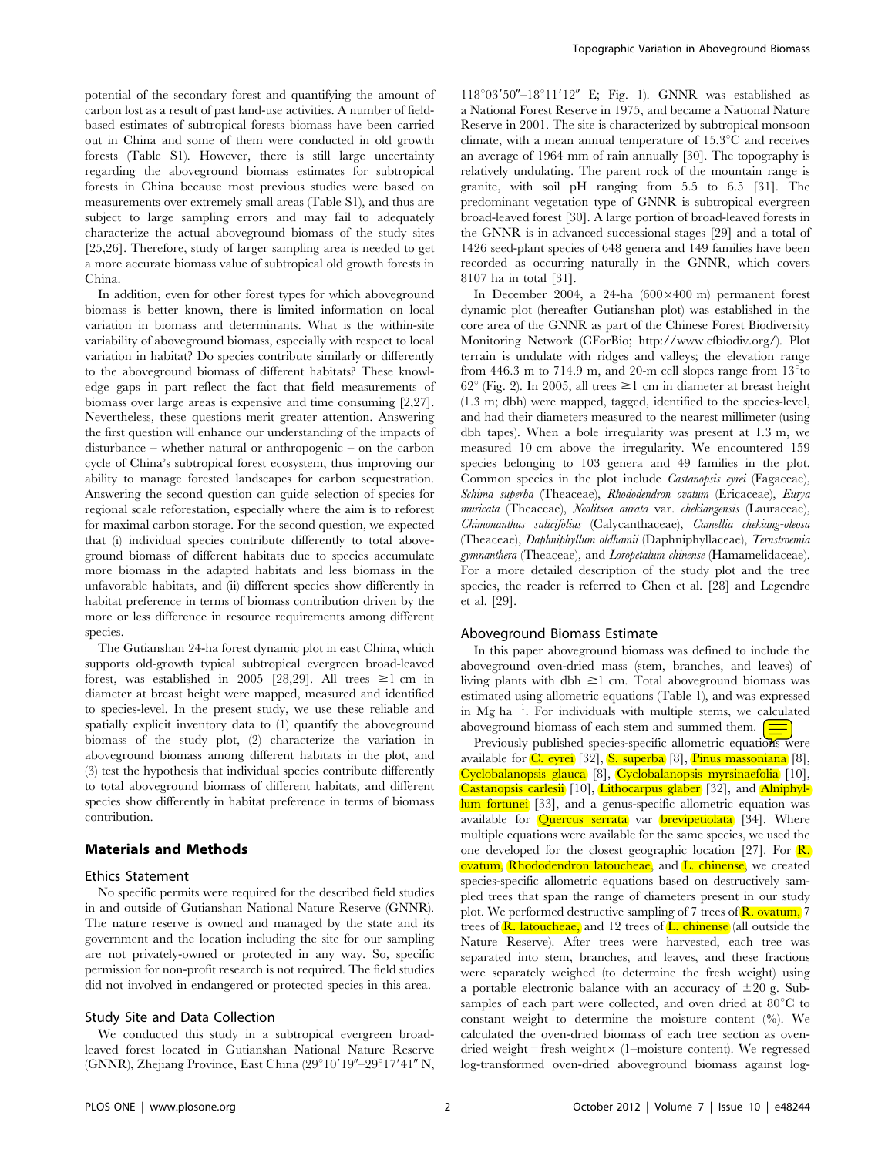potential of the secondary forest and quantifying the amount of carbon lost as a result of past land-use activities. A number of fieldbased estimates of subtropical forests biomass have been carried out in China and some of them were conducted in old growth forests (Table S1). However, there is still large uncertainty regarding the aboveground biomass estimates for subtropical forests in China because most previous studies were based on measurements over extremely small areas (Table S1), and thus are subject to large sampling errors and may fail to adequately characterize the actual aboveground biomass of the study sites [25,26]. Therefore, study of larger sampling area is needed to get a more accurate biomass value of subtropical old growth forests in China.

In addition, even for other forest types for which aboveground biomass is better known, there is limited information on local variation in biomass and determinants. What is the within-site variability of aboveground biomass, especially with respect to local variation in habitat? Do species contribute similarly or differently to the aboveground biomass of different habitats? These knowledge gaps in part reflect the fact that field measurements of biomass over large areas is expensive and time consuming [2,27]. Nevertheless, these questions merit greater attention. Answering the first question will enhance our understanding of the impacts of disturbance – whether natural or anthropogenic – on the carbon cycle of China's subtropical forest ecosystem, thus improving our ability to manage forested landscapes for carbon sequestration. Answering the second question can guide selection of species for regional scale reforestation, especially where the aim is to reforest for maximal carbon storage. For the second question, we expected that (i) individual species contribute differently to total aboveground biomass of different habitats due to species accumulate more biomass in the adapted habitats and less biomass in the unfavorable habitats, and (ii) different species show differently in habitat preference in terms of biomass contribution driven by the more or less difference in resource requirements among different species.

The Gutianshan 24-ha forest dynamic plot in east China, which supports old-growth typical subtropical evergreen broad-leaved forest, was established in 2005 [28,29]. All trees  $\geq 1$  cm in diameter at breast height were mapped, measured and identified to species-level. In the present study, we use these reliable and spatially explicit inventory data to (1) quantify the aboveground biomass of the study plot, (2) characterize the variation in aboveground biomass among different habitats in the plot, and (3) test the hypothesis that individual species contribute differently to total aboveground biomass of different habitats, and different species show differently in habitat preference in terms of biomass contribution.

## Materials and Methods

# Ethics Statement

No specific permits were required for the described field studies in and outside of Gutianshan National Nature Reserve (GNNR). The nature reserve is owned and managed by the state and its government and the location including the site for our sampling are not privately-owned or protected in any way. So, specific permission for non-profit research is not required. The field studies did not involved in endangered or protected species in this area.

#### Study Site and Data Collection

We conducted this study in a subtropical evergreen broadleaved forest located in Gutianshan National Nature Reserve (GNNR), Zhejiang Province, East China  $(29°10'19''-29°17'41''$  N,

 $118^{\circ}03'50'' - 18^{\circ}11'12''$  E; Fig. 1). GNNR was established as a National Forest Reserve in 1975, and became a National Nature Reserve in 2001. The site is characterized by subtropical monsoon climate, with a mean annual temperature of  $15.3^{\circ}$ C and receives an average of 1964 mm of rain annually [30]. The topography is relatively undulating. The parent rock of the mountain range is granite, with soil pH ranging from 5.5 to 6.5 [31]. The predominant vegetation type of GNNR is subtropical evergreen broad-leaved forest [30]. A large portion of broad-leaved forests in the GNNR is in advanced successional stages [29] and a total of 1426 seed-plant species of 648 genera and 149 families have been recorded as occurring naturally in the GNNR, which covers 8107 ha in total [31].

In December 2004, a 24-ha  $(600 \times 400 \text{ m})$  permanent forest dynamic plot (hereafter Gutianshan plot) was established in the core area of the GNNR as part of the Chinese Forest Biodiversity Monitoring Network (CForBio; http://www.cfbiodiv.org/). Plot terrain is undulate with ridges and valleys; the elevation range from 446.3 m to 714.9 m, and 20-m cell slopes range from  $13^{\circ}$  to  $62^{\circ}$  (Fig. 2). In 2005, all trees  $\geq 1$  cm in diameter at breast height (1.3 m; dbh) were mapped, tagged, identified to the species-level, and had their diameters measured to the nearest millimeter (using dbh tapes). When a bole irregularity was present at 1.3 m, we measured 10 cm above the irregularity. We encountered 159 species belonging to 103 genera and 49 families in the plot. Common species in the plot include Castanopsis eyrei (Fagaceae), Schima superba (Theaceae), Rhododendron ovatum (Ericaceae), Eurya muricata (Theaceae), Neolitsea aurata var. chekiangensis (Lauraceae), Chimonanthus salicifolius (Calycanthaceae), Camellia chekiang-oleosa (Theaceae), Daphniphyllum oldhamii (Daphniphyllaceae), Ternstroemia gymnanthera (Theaceae), and Loropetalum chinense (Hamamelidaceae). For a more detailed description of the study plot and the tree species, the reader is referred to Chen et al. [28] and Legendre et al. [29].

#### Aboveground Biomass Estimate

In this paper aboveground biomass was defined to include the aboveground oven-dried mass (stem, branches, and leaves) of living plants with dbh  $\geq 1$  cm. Total above ground biomass was estimated using allometric equations (Table 1), and was expressed in Mg ha<sup>-1</sup>. For individuals with multiple stems, we calculated aboveground biomass of each stem and summed them.  $\Box$ 

Previously published species-specific allometric equations were available for  $C$ . eyrei [32], S. superba [8], Pinus massoniana [8], Cyclobalanopsis glauca [8], Cyclobalanopsis myrsinaefolia [10], Castanopsis carlesii [10], Lithocarpus glaber [32], and Alniphyllum fortunei [33], and a genus-specific allometric equation was available for **Quercus serrata** var **brevipetiolata** [34]. Where multiple equations were available for the same species, we used the one developed for the closest geographic location [27]. For  $\mathbb{R}$ . ovatum, Rhododendron latoucheae, and L. chinense, we created species-specific allometric equations based on destructively sampled trees that span the range of diameters present in our study plot. We performed destructive sampling of 7 trees of  $\mathbb{R}$ , ovatum, 7 trees of  $\mathbb R$ . latoucheae, and 12 trees of  $\mathbb L$  chinense (all outside the Nature Reserve). After trees were harvested, each tree was separated into stem, branches, and leaves, and these fractions were separately weighed (to determine the fresh weight) using a portable electronic balance with an accuracy of  $\pm 20$  g. Subsamples of each part were collected, and oven dried at  $80^{\circ}$ C to constant weight to determine the moisture content (%). We calculated the oven-dried biomass of each tree section as ovendried weight = fresh weight $\times$  (1–moisture content). We regressed log-transformed oven-dried aboveground biomass against log-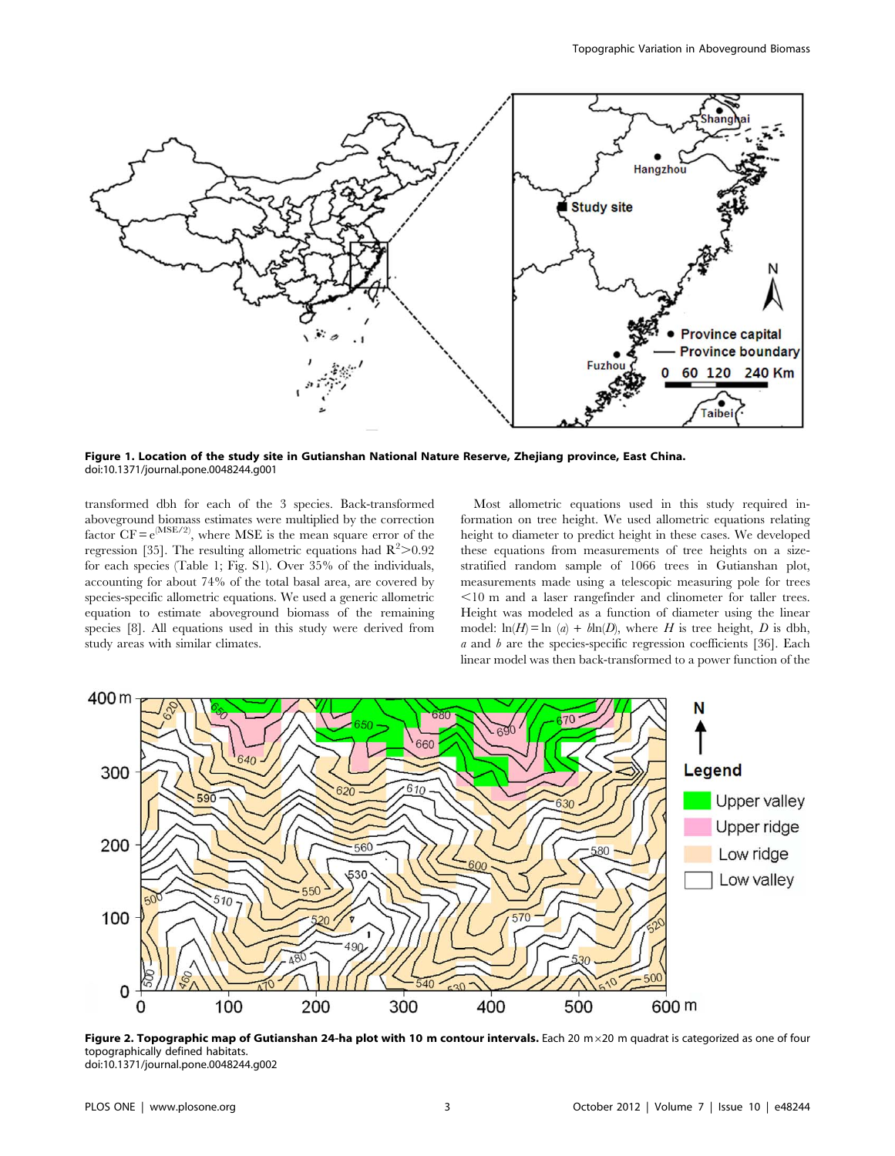

Figure 1. Location of the study site in Gutianshan National Nature Reserve, Zhejiang province, East China. doi:10.1371/journal.pone.0048244.g001

transformed dbh for each of the 3 species. Back-transformed aboveground biomass estimates were multiplied by the correction factor  $CF = e^{(MSE/2)}$ , where MSE is the mean square error of the regression [35]. The resulting allometric equations had  $R^2 > 0.92$ for each species (Table 1; Fig. S1). Over 35% of the individuals, accounting for about 74% of the total basal area, are covered by species-specific allometric equations. We used a generic allometric equation to estimate aboveground biomass of the remaining species [8]. All equations used in this study were derived from study areas with similar climates.

Most allometric equations used in this study required information on tree height. We used allometric equations relating height to diameter to predict height in these cases. We developed these equations from measurements of tree heights on a sizestratified random sample of 1066 trees in Gutianshan plot, measurements made using a telescopic measuring pole for trees ,10 m and a laser rangefinder and clinometer for taller trees. Height was modeled as a function of diameter using the linear model:  $ln(H) = ln (a) + ln(D)$ , where H is tree height, D is dbh,  $a$  and  $b$  are the species-specific regression coefficients [36]. Each linear model was then back-transformed to a power function of the



Figure 2. Topographic map of Gutianshan 24-ha plot with 10 m contour intervals. Each 20  $m \times 20$  m quadrat is categorized as one of four topographically defined habitats. doi:10.1371/journal.pone.0048244.g002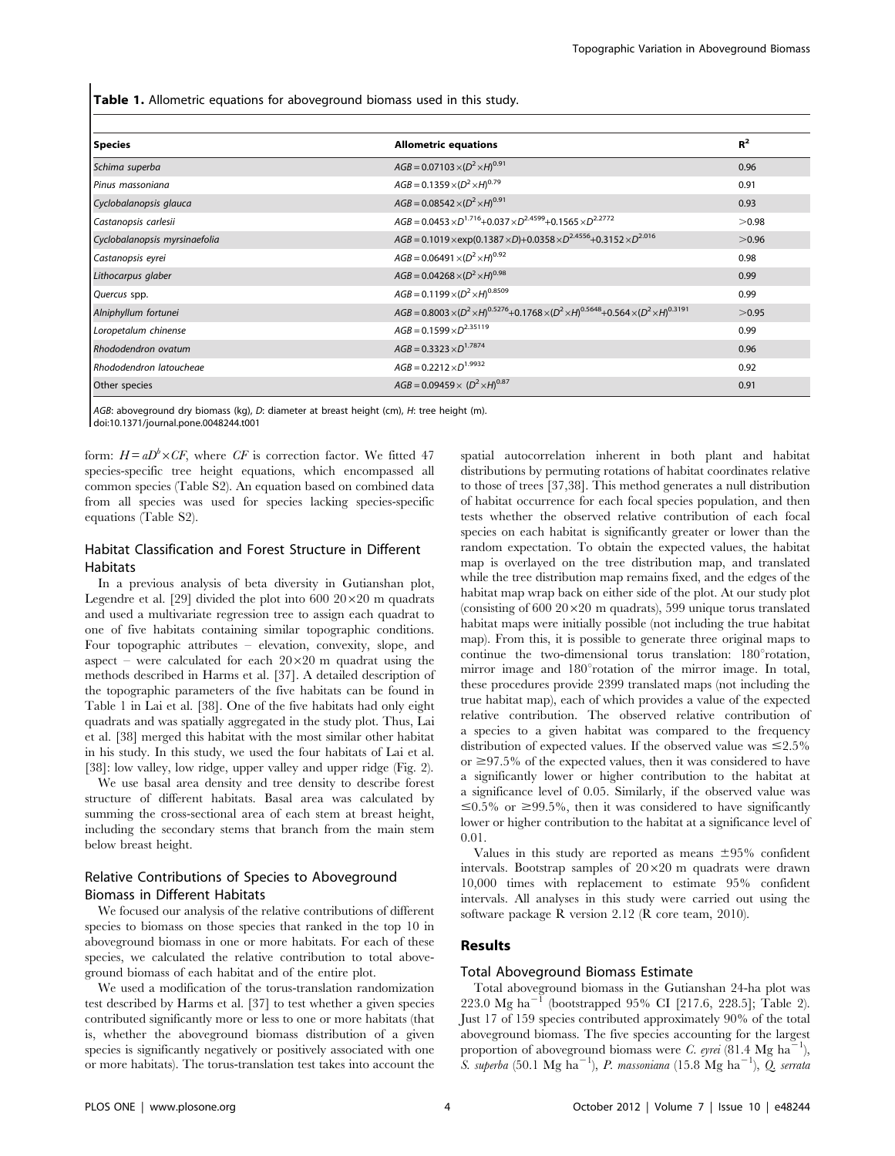Table 1. Allometric equations for aboveground biomass used in this study.

| <b>Species</b>                | <b>Allometric equations</b>                                                                                                  | $R^2$ |
|-------------------------------|------------------------------------------------------------------------------------------------------------------------------|-------|
| Schima superba                | $AGB = 0.07103 \times (D^2 \times H)^{0.91}$                                                                                 | 0.96  |
| Pinus massoniana              | $AGB = 0.1359 \times (D^2 \times H)^{0.79}$                                                                                  | 0.91  |
| Cyclobalanopsis glauca        | $AGB = 0.08542 \times (D^2 \times H)^{0.91}$                                                                                 | 0.93  |
| Castanopsis carlesii          | $AGB = 0.0453 \times D^{1.716} + 0.037 \times D^{2.4599} + 0.1565 \times D^{2.2772}$                                         | >0.98 |
| Cyclobalanopsis myrsinaefolia | $AGB = 0.1019 \times \exp(0.1387 \times D) + 0.0358 \times D^{2.4556} + 0.3152 \times D^{2.016}$                             | >0.96 |
| Castanopsis eyrei             | $AGB = 0.06491 \times (D^2 \times H)^{0.92}$                                                                                 | 0.98  |
| Lithocarpus glaber            | $AGB = 0.04268 \times (D^2 \times H)^{0.98}$                                                                                 | 0.99  |
| Quercus spp.                  | $AGB = 0.1199 \times (D^2 \times H)^{0.8509}$                                                                                | 0.99  |
| Alniphyllum fortunei          | $AGB = 0.8003 \times (D^2 \times H)^{0.5276} + 0.1768 \times (D^2 \times H)^{0.5648} + 0.564 \times (D^2 \times H)^{0.3191}$ | >0.95 |
| Loropetalum chinense          | $AGB = 0.1599 \times D^{2.35119}$                                                                                            | 0.99  |
| Rhododendron ovatum           | $AGB = 0.3323 \times D^{1.7874}$                                                                                             | 0.96  |
| Rhododendron latoucheae       | $AGB = 0.2212 \times D^{1.9932}$                                                                                             | 0.92  |
| Other species                 | $AGB = 0.09459 \times (D^2 \times H)^{0.87}$                                                                                 | 0.91  |

AGB: aboveground dry biomass (kg), D: diameter at breast height (cm), H: tree height (m). doi:10.1371/journal.pone.0048244.t001

form:  $H = aD^b \times CF$ , where CF is correction factor. We fitted 47 species-specific tree height equations, which encompassed all common species (Table S2). An equation based on combined data from all species was used for species lacking species-specific equations (Table S2).

## Habitat Classification and Forest Structure in Different **Habitats**

In a previous analysis of beta diversity in Gutianshan plot, Legendre et al. [29] divided the plot into  $600\ 20\times20$  m quadrats and used a multivariate regression tree to assign each quadrat to one of five habitats containing similar topographic conditions. Four topographic attributes – elevation, convexity, slope, and aspect – were calculated for each  $20 \times 20$  m quadrat using the methods described in Harms et al. [37]. A detailed description of the topographic parameters of the five habitats can be found in Table 1 in Lai et al. [38]. One of the five habitats had only eight quadrats and was spatially aggregated in the study plot. Thus, Lai et al. [38] merged this habitat with the most similar other habitat in his study. In this study, we used the four habitats of Lai et al. [38]: low valley, low ridge, upper valley and upper ridge (Fig. 2).

We use basal area density and tree density to describe forest structure of different habitats. Basal area was calculated by summing the cross-sectional area of each stem at breast height, including the secondary stems that branch from the main stem below breast height.

## Relative Contributions of Species to Aboveground Biomass in Different Habitats

We focused our analysis of the relative contributions of different species to biomass on those species that ranked in the top 10 in aboveground biomass in one or more habitats. For each of these species, we calculated the relative contribution to total aboveground biomass of each habitat and of the entire plot.

We used a modification of the torus-translation randomization test described by Harms et al. [37] to test whether a given species contributed significantly more or less to one or more habitats (that is, whether the aboveground biomass distribution of a given species is significantly negatively or positively associated with one or more habitats). The torus-translation test takes into account the spatial autocorrelation inherent in both plant and habitat distributions by permuting rotations of habitat coordinates relative to those of trees [37,38]. This method generates a null distribution of habitat occurrence for each focal species population, and then tests whether the observed relative contribution of each focal species on each habitat is significantly greater or lower than the random expectation. To obtain the expected values, the habitat map is overlayed on the tree distribution map, and translated while the tree distribution map remains fixed, and the edges of the habitat map wrap back on either side of the plot. At our study plot (consisting of 600  $20 \times 20$  m quadrats), 599 unique torus translated habitat maps were initially possible (not including the true habitat map). From this, it is possible to generate three original maps to continue the two-dimensional torus translation:  $180^{\circ}$ rotation, mirror image and 180° rotation of the mirror image. In total, these procedures provide 2399 translated maps (not including the true habitat map), each of which provides a value of the expected relative contribution. The observed relative contribution of a species to a given habitat was compared to the frequency distribution of expected values. If the observed value was  $\leq 2.5\%$ or  $\geq$ 97.5% of the expected values, then it was considered to have a significantly lower or higher contribution to the habitat at a significance level of 0.05. Similarly, if the observed value was  $\leq 0.5\%$  or  $\geq 99.5\%$ , then it was considered to have significantly lower or higher contribution to the habitat at a significance level of 0.01.

Values in this study are reported as means  $\pm 95\%$  confident intervals. Bootstrap samples of  $20 \times 20$  m quadrats were drawn 10,000 times with replacement to estimate 95% confident intervals. All analyses in this study were carried out using the software package R version 2.12 (R core team, 2010).

## Results

## Total Aboveground Biomass Estimate

Total aboveground biomass in the Gutianshan 24-ha plot was  $223.0 \text{ Mg } \text{ha}^{-1}$  (bootstrapped 95% CI [217.6, 228.5]; Table 2). Just 17 of 159 species contributed approximately 90% of the total aboveground biomass. The five species accounting for the largest proportion of aboveground biomass were C. eyrei (81.4 Mg ha<sup>-1</sup>), S. superba (50.1 Mg  $\overline{h}a^{-1}$ ), P. massoniana (15.8 Mg  $\overline{h}a^{-1}$ ),  $\overline{Q}$ . serrata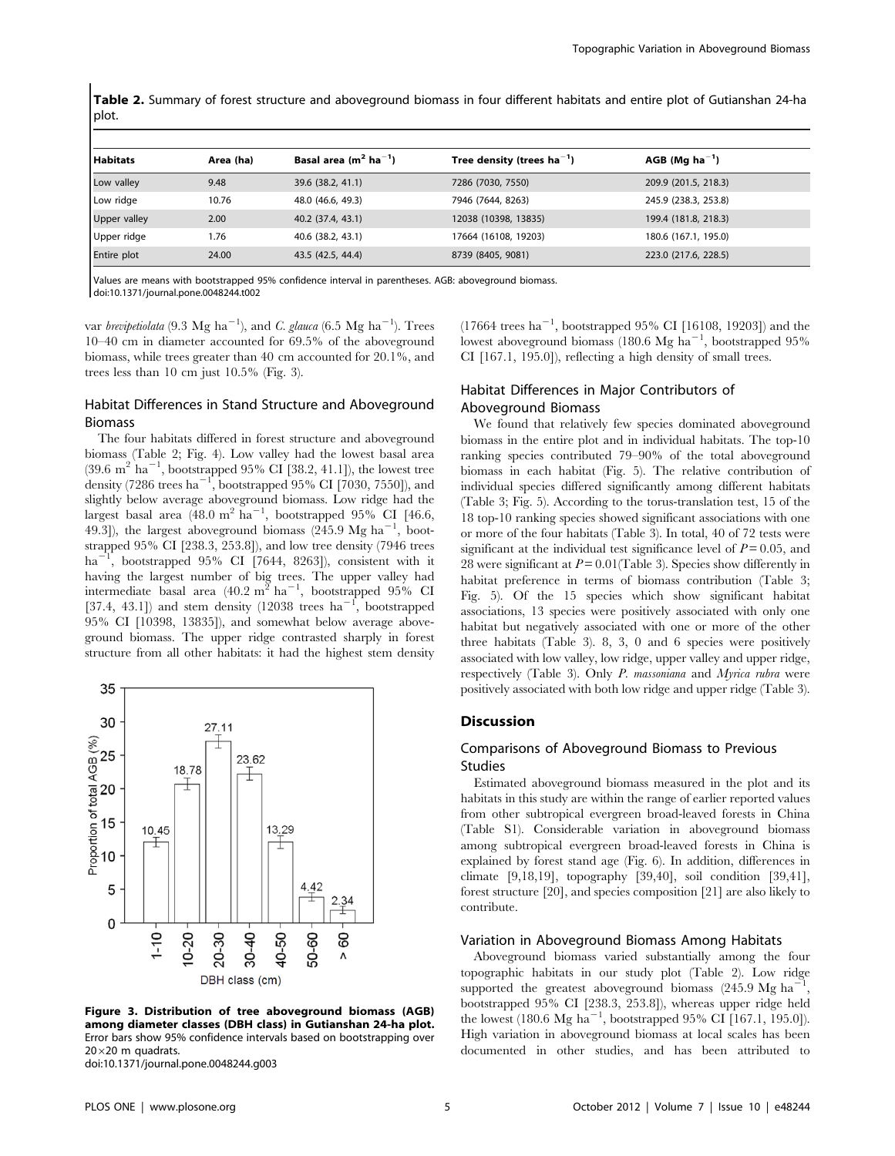Table 2. Summary of forest structure and aboveground biomass in four different habitats and entire plot of Gutianshan 24-ha plot.

| Habitats            | Area (ha) | Basal area ( $m2$ ha <sup>-1</sup> ) | Tree density (trees $ha^{-1}$ ) | $AGB$ (Mg ha <sup>-1</sup> ) |  |  |  |  |  |
|---------------------|-----------|--------------------------------------|---------------------------------|------------------------------|--|--|--|--|--|
| Low valley          | 9.48      | 39.6 (38.2, 41.1)                    | 7286 (7030, 7550)               | 209.9 (201.5, 218.3)         |  |  |  |  |  |
| Low ridge           | 10.76     | 48.0 (46.6, 49.3)                    | 7946 (7644, 8263)               | 245.9 (238.3, 253.8)         |  |  |  |  |  |
| <b>Upper valley</b> | 2.00      | 40.2 (37.4, 43.1)                    | 12038 (10398, 13835)            | 199.4 (181.8, 218.3)         |  |  |  |  |  |
| Upper ridge         | 1.76      | 40.6 (38.2, 43.1)                    | 17664 (16108, 19203)            | 180.6 (167.1, 195.0)         |  |  |  |  |  |
| Entire plot         | 24.00     | 43.5 (42.5, 44.4)                    | 8739 (8405, 9081)               | 223.0 (217.6, 228.5)         |  |  |  |  |  |
|                     |           |                                      |                                 |                              |  |  |  |  |  |

Values are means with bootstrapped 95% confidence interval in parentheses. AGB: aboveground biomass.

doi:10.1371/journal.pone.0048244.t002

var brevipetiolata (9.3 Mg ha<sup>-1</sup>), and C. glauca (6.5 Mg ha<sup>-1</sup>). Trees 10–40 cm in diameter accounted for 69.5% of the aboveground biomass, while trees greater than 40 cm accounted for 20.1%, and trees less than 10 cm just 10.5% (Fig. 3).

# Habitat Differences in Stand Structure and Aboveground Biomass

The four habitats differed in forest structure and aboveground biomass (Table 2; Fig. 4). Low valley had the lowest basal area  $(39.6 \text{ m}^2 \text{ ha}^{-1}$ , bootstrapped 95% CI [38.2, 41.1]), the lowest tree density (7286 trees ha<sup>-1</sup>, bootstrapped 95% CI [7030, 7550]), and slightly below average aboveground biomass. Low ridge had the largest basal area (48.0 m<sup>2</sup> ha<sup>-1</sup>, bootstrapped 95% CI [46.6, 49.3]), the largest aboveground biomass  $(245.9 \text{ Mg ha}^{-1}, \text{ boot-}$ strapped 95% CI [238.3, 253.8]), and low tree density (7946 trees ha<sup>-1</sup>, bootstrapped 95% CI [7644, 8263]), consistent with it having the largest number of big trees. The upper valley had intermediate basal area (40.2 m<sup>2</sup> ha<sup>-1</sup>, bootstrapped 95% CI<br>[37.4, 43.1]) and stem density (12038 trees ha<sup>-1</sup>, bootstrapped 95% CI [10398, 13835]), and somewhat below average aboveground biomass. The upper ridge contrasted sharply in forest structure from all other habitats: it had the highest stem density



Figure 3. Distribution of tree aboveground biomass (AGB) among diameter classes (DBH class) in Gutianshan 24-ha plot. Error bars show 95% confidence intervals based on bootstrapping over  $20\times20$  m quadrats.

doi:10.1371/journal.pone.0048244.g003

 $(17664 \text{ trees ha}^{-1}, \text{ bootstrapped 95\% CI [16108, 19203])}$  and the lowest aboveground biomass (180.6 Mg ha<sup>-1</sup>, bootstrapped 95% CI [167.1, 195.0]), reflecting a high density of small trees.

# Habitat Differences in Major Contributors of Aboveground Biomass

We found that relatively few species dominated aboveground biomass in the entire plot and in individual habitats. The top-10 ranking species contributed 79–90% of the total aboveground biomass in each habitat (Fig. 5). The relative contribution of individual species differed significantly among different habitats (Table 3; Fig. 5). According to the torus-translation test, 15 of the 18 top-10 ranking species showed significant associations with one or more of the four habitats (Table 3). In total, 40 of 72 tests were significant at the individual test significance level of  $P = 0.05$ , and 28 were significant at  $P = 0.01$  (Table 3). Species show differently in habitat preference in terms of biomass contribution (Table 3; Fig. 5). Of the 15 species which show significant habitat associations, 13 species were positively associated with only one habitat but negatively associated with one or more of the other three habitats (Table 3). 8, 3, 0 and 6 species were positively associated with low valley, low ridge, upper valley and upper ridge, respectively (Table 3). Only P. massoniana and Myrica rubra were positively associated with both low ridge and upper ridge (Table 3).

## **Discussion**

# Comparisons of Aboveground Biomass to Previous Studies

Estimated aboveground biomass measured in the plot and its habitats in this study are within the range of earlier reported values from other subtropical evergreen broad-leaved forests in China (Table S1). Considerable variation in aboveground biomass among subtropical evergreen broad-leaved forests in China is explained by forest stand age (Fig. 6). In addition, differences in climate [9,18,19], topography [39,40], soil condition [39,41], forest structure [20], and species composition [21] are also likely to contribute.

## Variation in Aboveground Biomass Among Habitats

Aboveground biomass varied substantially among the four topographic habitats in our study plot (Table 2). Low ridge supported the greatest aboveground biomass (245.9 Mg ha<sup>-1</sup>, bootstrapped 95% CI [238.3, 253.8]), whereas upper ridge held the lowest (180.6 Mg ha<sup>-1</sup>, bootstrapped 95% CI [167.1, 195.0]). High variation in aboveground biomass at local scales has been documented in other studies, and has been attributed to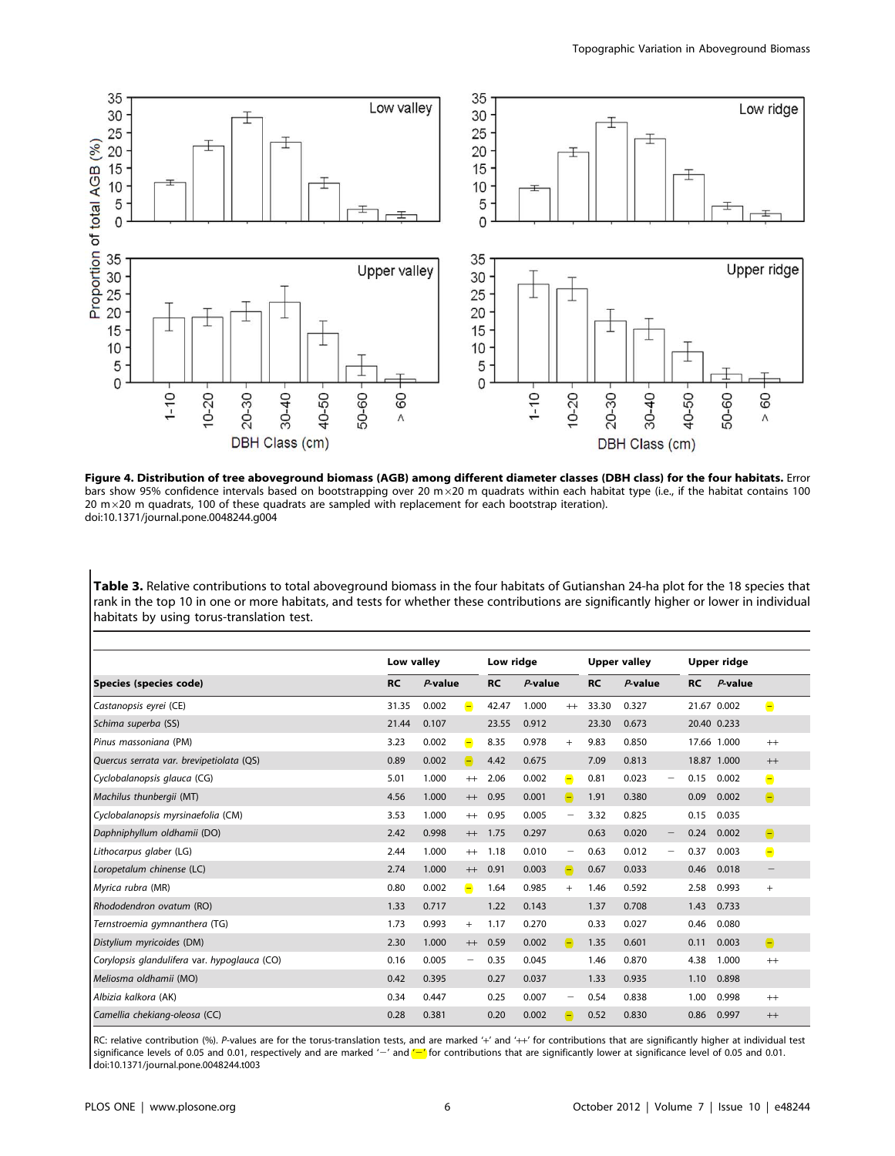

Figure 4. Distribution of tree aboveground biomass (AGB) among different diameter classes (DBH class) for the four habitats. Error bars show 95% confidence intervals based on bootstrapping over 20 m  $\times$ 20 m quadrats within each habitat type (i.e., if the habitat contains 100 20  $m \times 20$  m quadrats, 100 of these quadrats are sampled with replacement for each bootstrap iteration). doi:10.1371/journal.pone.0048244.g004

Table 3. Relative contributions to total aboveground biomass in the four habitats of Gutianshan 24-ha plot for the 18 species that rank in the top 10 in one or more habitats, and tests for whether these contributions are significantly higher or lower in individual habitats by using torus-translation test.

|                                              | Low valley |            | Low ridge                |           | <b>Upper valley</b> |                   |           | Upper ridge |                                 |           |             |                   |
|----------------------------------------------|------------|------------|--------------------------|-----------|---------------------|-------------------|-----------|-------------|---------------------------------|-----------|-------------|-------------------|
| Species (species code)                       | <b>RC</b>  | $P$ -value |                          | <b>RC</b> | $P$ -value          |                   | <b>RC</b> | $P$ -value  |                                 | <b>RC</b> | $P$ -value  |                   |
| Castanopsis eyrei (CE)                       | 31.35      | 0.002      | $\blacksquare$           | 42.47     | 1.000               | $^{++}$           | 33.30     | 0.327       |                                 |           | 21.67 0.002 | $\blacksquare$    |
| Schima superba (SS)                          | 21.44      | 0.107      |                          | 23.55     | 0.912               |                   | 23.30     | 0.673       |                                 |           | 20.40 0.233 |                   |
| Pinus massoniana (PM)                        | 3.23       | 0.002      | $\blacksquare$           | 8.35      | 0.978               | $^{+}$            | 9.83      | 0.850       |                                 |           | 17.66 1.000 | $^{++}$           |
| Quercus serrata var. brevipetiolata (QS)     | 0.89       | 0.002      | $\blacksquare$           | 4.42      | 0.675               |                   | 7.09      | 0.813       |                                 |           | 18.87 1.000 | $++$              |
| Cyclobalanopsis glauca (CG)                  | 5.01       | 1.000      | $^{++}$                  | 2.06      | 0.002               | Ξ                 | 0.81      | 0.023       | $\overline{\phantom{m}}$        | 0.15      | 0.002       | Ξ                 |
| Machilus thunbergii (MT)                     | 4.56       | 1.000      | $++$                     | 0.95      | 0.001               | $\blacksquare$    | 1.91      | 0.380       |                                 | 0.09      | 0.002       | $\blacksquare$    |
| Cyclobalanopsis myrsinaefolia (CM)           | 3.53       | 1.000      | $^{++}$                  | 0.95      | 0.005               | -                 | 3.32      | 0.825       |                                 | 0.15      | 0.035       |                   |
| Daphniphyllum oldhamii (DO)                  | 2.42       | 0.998      | $++$                     | 1.75      | 0.297               |                   | 0.63      | 0.020       | $\hspace{0.1mm}-\hspace{0.1mm}$ | 0.24      | 0.002       | Θ                 |
| Lithocarpus glaber (LG)                      | 2.44       | 1.000      | $^{++}$                  | 1.18      | 0.010               | -                 | 0.63      | 0.012       | $\overline{\phantom{m}}$        | 0.37      | 0.003       | Ξ                 |
| Loropetalum chinense (LC)                    | 2.74       | 1.000      | $++$                     | 0.91      | 0.003               | $\left( -\right)$ | 0.67      | 0.033       |                                 | 0.46      | 0.018       | $\qquad \qquad -$ |
| Myrica rubra (MR)                            | 0.80       | 0.002      | Θ                        | 1.64      | 0.985               | $^{+}$            | 1.46      | 0.592       |                                 | 2.58      | 0.993       | $^{+}$            |
| Rhododendron ovatum (RO)                     | 1.33       | 0.717      |                          | 1.22      | 0.143               |                   | 1.37      | 0.708       |                                 | 1.43      | 0.733       |                   |
| Ternstroemia gymnanthera (TG)                | 1.73       | 0.993      | $^{+}$                   | 1.17      | 0.270               |                   | 0.33      | 0.027       |                                 | 0.46      | 0.080       |                   |
| Distylium myricoides (DM)                    | 2.30       | 1.000      | $++$                     | 0.59      | 0.002               | Θ                 | 1.35      | 0.601       |                                 | 0.11      | 0.003       | Θ                 |
| Corylopsis glandulifera var. hypoglauca (CO) | 0.16       | 0.005      | $\overline{\phantom{0}}$ | 0.35      | 0.045               |                   | 1.46      | 0.870       |                                 | 4.38      | 1.000       | $^{++}$           |
| Meliosma oldhamii (MO)                       | 0.42       | 0.395      |                          | 0.27      | 0.037               |                   | 1.33      | 0.935       |                                 | 1.10      | 0.898       |                   |
| Albizia kalkora (AK)                         | 0.34       | 0.447      |                          | 0.25      | 0.007               | -                 | 0.54      | 0.838       |                                 | 1.00      | 0.998       | $^{++}$           |
| Camellia chekiang-oleosa (CC)                | 0.28       | 0.381      |                          | 0.20      | 0.002               | E                 | 0.52      | 0.830       |                                 | 0.86      | 0.997       | $++$              |

RC: relative contribution (%). P-values are for the torus-translation tests, and are marked '+' and '++' for contributions that are significantly higher at individual test significance levels of 0.05 and 0.01, respectively and are marked '-' and  $\sim$ ' for contributions that are significantly lower at significance level of 0.05 and 0.01. doi:10.1371/journal.pone.0048244.t003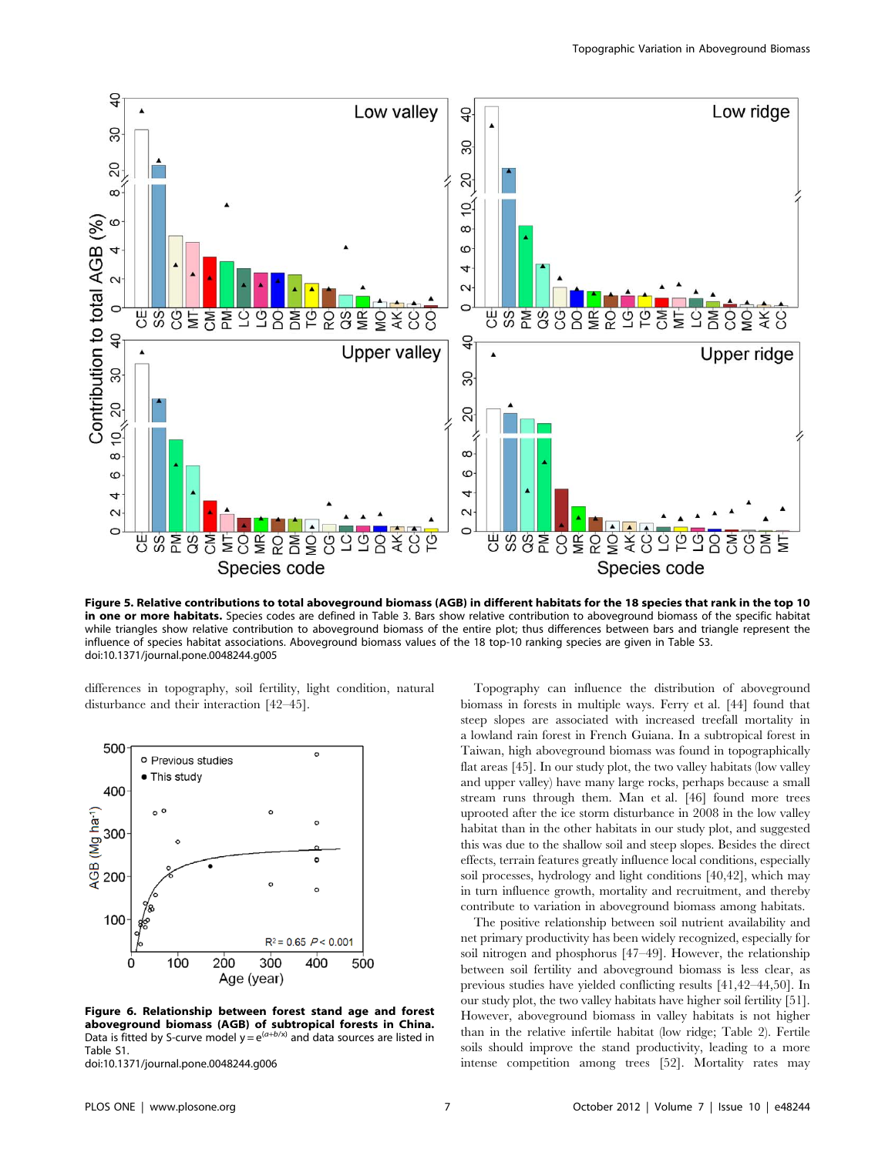

Figure 5. Relative contributions to total aboveground biomass (AGB) in different habitats for the 18 species that rank in the top 10 in one or more habitats. Species codes are defined in Table 3. Bars show relative contribution to aboveground biomass of the specific habitat while triangles show relative contribution to aboveground biomass of the entire plot; thus differences between bars and triangle represent the influence of species habitat associations. Aboveground biomass values of the 18 top-10 ranking species are given in Table S3. doi:10.1371/journal.pone.0048244.g005

differences in topography, soil fertility, light condition, natural disturbance and their interaction [42–45].



Figure 6. Relationship between forest stand age and forest aboveground biomass (AGB) of subtropical forests in China. Data is fitted by S-curve model  $y = e^{(a+b/x)}$  and data sources are listed in Table S1.

doi:10.1371/journal.pone.0048244.g006

Topography can influence the distribution of aboveground biomass in forests in multiple ways. Ferry et al. [44] found that steep slopes are associated with increased treefall mortality in a lowland rain forest in French Guiana. In a subtropical forest in Taiwan, high aboveground biomass was found in topographically flat areas [45]. In our study plot, the two valley habitats (low valley and upper valley) have many large rocks, perhaps because a small stream runs through them. Man et al. [46] found more trees uprooted after the ice storm disturbance in 2008 in the low valley habitat than in the other habitats in our study plot, and suggested this was due to the shallow soil and steep slopes. Besides the direct effects, terrain features greatly influence local conditions, especially soil processes, hydrology and light conditions [40,42], which may in turn influence growth, mortality and recruitment, and thereby contribute to variation in aboveground biomass among habitats.

The positive relationship between soil nutrient availability and net primary productivity has been widely recognized, especially for soil nitrogen and phosphorus [47–49]. However, the relationship between soil fertility and aboveground biomass is less clear, as previous studies have yielded conflicting results [41,42–44,50]. In our study plot, the two valley habitats have higher soil fertility [51]. However, aboveground biomass in valley habitats is not higher than in the relative infertile habitat (low ridge; Table 2). Fertile soils should improve the stand productivity, leading to a more intense competition among trees [52]. Mortality rates may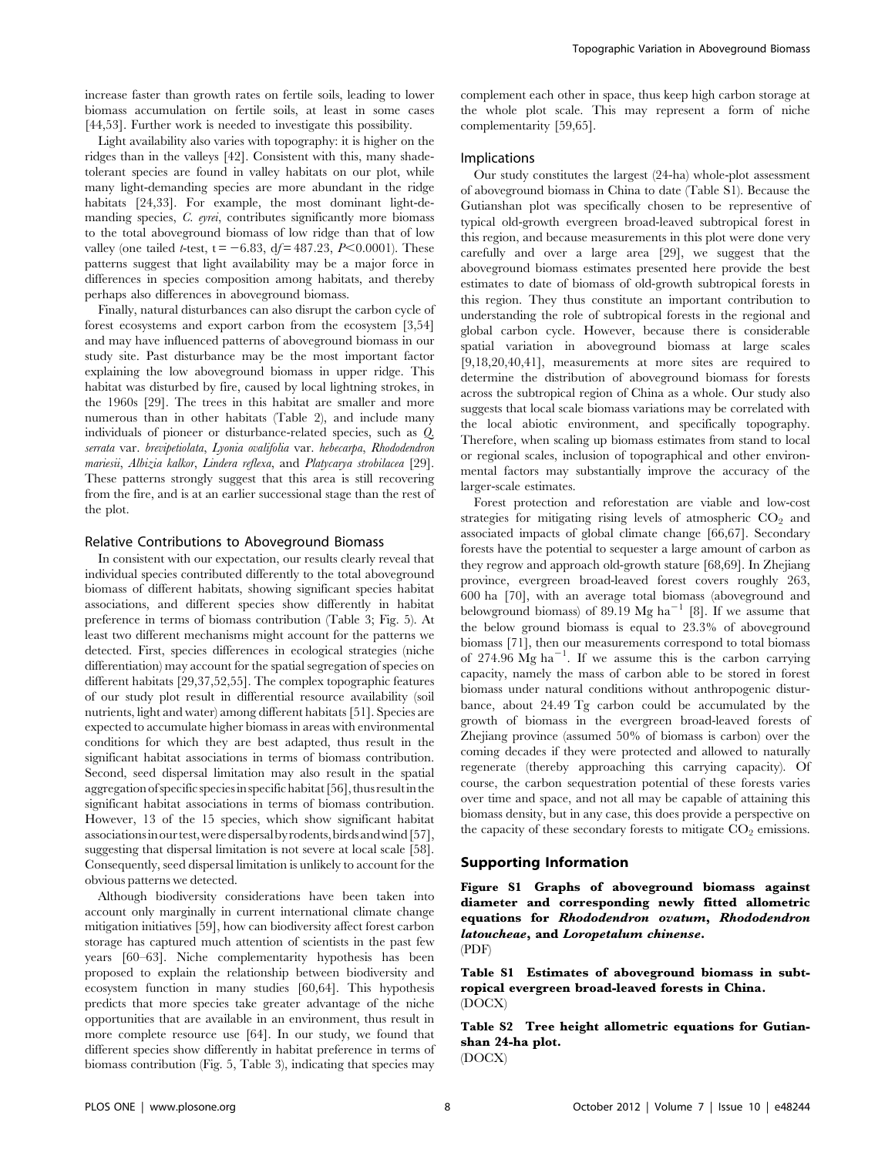increase faster than growth rates on fertile soils, leading to lower biomass accumulation on fertile soils, at least in some cases [44,53]. Further work is needed to investigate this possibility.

Light availability also varies with topography: it is higher on the ridges than in the valleys [42]. Consistent with this, many shadetolerant species are found in valley habitats on our plot, while many light-demanding species are more abundant in the ridge habitats [24,33]. For example, the most dominant light-demanding species, C. eyrei, contributes significantly more biomass to the total aboveground biomass of low ridge than that of low valley (one tailed *t*-test,  $t = -6.83$ ,  $df = 487.23$ ,  $P < 0.0001$ ). These patterns suggest that light availability may be a major force in differences in species composition among habitats, and thereby perhaps also differences in aboveground biomass.

Finally, natural disturbances can also disrupt the carbon cycle of forest ecosystems and export carbon from the ecosystem [3,54] and may have influenced patterns of aboveground biomass in our study site. Past disturbance may be the most important factor explaining the low aboveground biomass in upper ridge. This habitat was disturbed by fire, caused by local lightning strokes, in the 1960s [29]. The trees in this habitat are smaller and more numerous than in other habitats (Table 2), and include many individuals of pioneer or disturbance-related species, such as Q. serrata var. brevipetiolata, Lyonia ovalifolia var. hebecarpa, Rhododendron mariesii, Albizia kalkor, Lindera reflexa, and Platycarya strobilacea [29]. These patterns strongly suggest that this area is still recovering from the fire, and is at an earlier successional stage than the rest of the plot.

#### Relative Contributions to Aboveground Biomass

In consistent with our expectation, our results clearly reveal that individual species contributed differently to the total aboveground biomass of different habitats, showing significant species habitat associations, and different species show differently in habitat preference in terms of biomass contribution (Table 3; Fig. 5). At least two different mechanisms might account for the patterns we detected. First, species differences in ecological strategies (niche differentiation) may account for the spatial segregation of species on different habitats [29,37,52,55]. The complex topographic features of our study plot result in differential resource availability (soil nutrients, light and water) among different habitats [51]. Species are expected to accumulate higher biomass in areas with environmental conditions for which they are best adapted, thus result in the significant habitat associations in terms of biomass contribution. Second, seed dispersal limitation may also result in the spatial aggregation of specific species in specific habitat [56], thus result in the significant habitat associations in terms of biomass contribution. However, 13 of the 15 species, which show significant habitat associationsinourtest,weredispersalbyrodents,birdsandwind[57], suggesting that dispersal limitation is not severe at local scale [58]. Consequently, seed dispersal limitation is unlikely to account for the obvious patterns we detected.

Although biodiversity considerations have been taken into account only marginally in current international climate change mitigation initiatives [59], how can biodiversity affect forest carbon storage has captured much attention of scientists in the past few years [60–63]. Niche complementarity hypothesis has been proposed to explain the relationship between biodiversity and ecosystem function in many studies [60,64]. This hypothesis predicts that more species take greater advantage of the niche opportunities that are available in an environment, thus result in more complete resource use [64]. In our study, we found that different species show differently in habitat preference in terms of biomass contribution (Fig. 5, Table 3), indicating that species may complement each other in space, thus keep high carbon storage at the whole plot scale. This may represent a form of niche complementarity [59,65].

## Implications

Our study constitutes the largest (24-ha) whole-plot assessment of aboveground biomass in China to date (Table S1). Because the Gutianshan plot was specifically chosen to be representive of typical old-growth evergreen broad-leaved subtropical forest in this region, and because measurements in this plot were done very carefully and over a large area [29], we suggest that the aboveground biomass estimates presented here provide the best estimates to date of biomass of old-growth subtropical forests in this region. They thus constitute an important contribution to understanding the role of subtropical forests in the regional and global carbon cycle. However, because there is considerable spatial variation in aboveground biomass at large scales [9,18,20,40,41], measurements at more sites are required to determine the distribution of aboveground biomass for forests across the subtropical region of China as a whole. Our study also suggests that local scale biomass variations may be correlated with the local abiotic environment, and specifically topography. Therefore, when scaling up biomass estimates from stand to local or regional scales, inclusion of topographical and other environmental factors may substantially improve the accuracy of the larger-scale estimates.

Forest protection and reforestation are viable and low-cost strategies for mitigating rising levels of atmospheric  $CO<sub>2</sub>$  and associated impacts of global climate change [66,67]. Secondary forests have the potential to sequester a large amount of carbon as they regrow and approach old-growth stature [68,69]. In Zhejiang province, evergreen broad-leaved forest covers roughly 263, 600 ha [70], with an average total biomass (aboveground and belowground biomass) of 89.19 Mg ha<sup>-1</sup> [8]. If we assume that the below ground biomass is equal to 23.3% of aboveground biomass [71], then our measurements correspond to total biomass of 274.96  $\overline{Mg}$  ha<sup>-1</sup>. If we assume this is the carbon carrying capacity, namely the mass of carbon able to be stored in forest biomass under natural conditions without anthropogenic disturbance, about 24.49 Tg carbon could be accumulated by the growth of biomass in the evergreen broad-leaved forests of Zhejiang province (assumed 50% of biomass is carbon) over the coming decades if they were protected and allowed to naturally regenerate (thereby approaching this carrying capacity). Of course, the carbon sequestration potential of these forests varies over time and space, and not all may be capable of attaining this biomass density, but in any case, this does provide a perspective on the capacity of these secondary forests to mitigate  $CO<sub>2</sub>$  emissions.

## Supporting Information

Figure S1 Graphs of aboveground biomass against diameter and corresponding newly fitted allometric equations for Rhododendron ovatum, Rhododendron latoucheae, and Loropetalum chinense. (PDF)

Table S1 Estimates of aboveground biomass in subtropical evergreen broad-leaved forests in China. (DOCX)

Table S2 Tree height allometric equations for Gutianshan 24-ha plot.

(DOCX)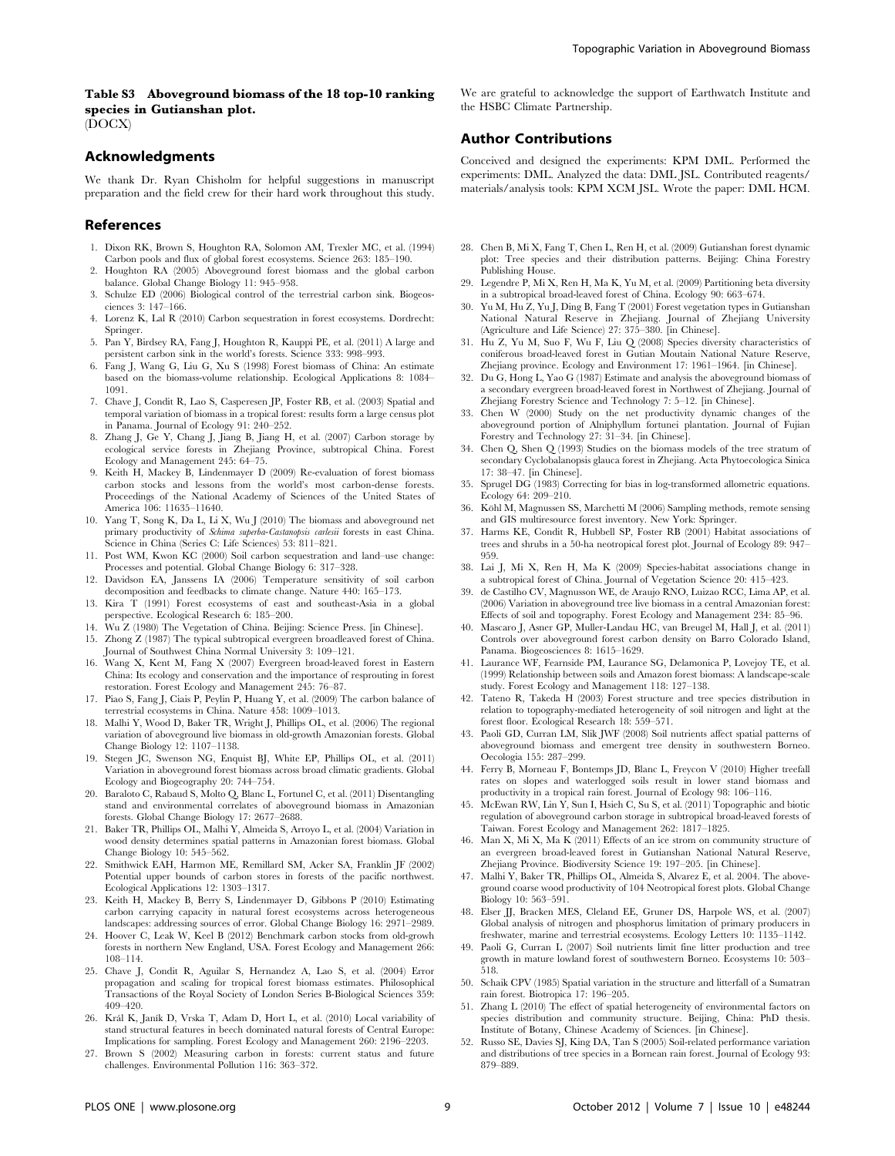## Table S3 Aboveground biomass of the 18 top-10 ranking species in Gutianshan plot. (DOCX)

## Acknowledgments

We thank Dr. Ryan Chisholm for helpful suggestions in manuscript preparation and the field crew for their hard work throughout this study.

## References

- 1. Dixon RK, Brown S, Houghton RA, Solomon AM, Trexler MC, et al. (1994) Carbon pools and flux of global forest ecosystems. Science 263: 185–190.
- 2. Houghton RA (2005) Aboveground forest biomass and the global carbon balance. Global Change Biology 11: 945–958.
- 3. Schulze ED (2006) Biological control of the terrestrial carbon sink. Biogeosciences 3: 147–166.
- 4. Lorenz K, Lal R (2010) Carbon sequestration in forest ecosystems. Dordrecht: Springer.
- 5. Pan Y, Birdsey RA, Fang J, Houghton R, Kauppi PE, et al. (2011) A large and persistent carbon sink in the world's forests. Science 333: 998–993.
- 6. Fang J, Wang G, Liu G, Xu S (1998) Forest biomass of China: An estimate based on the biomass-volume relationship. Ecological Applications 8: 1084– 1091.
- 7. Chave J, Condit R, Lao S, Casperesen JP, Foster RB, et al. (2003) Spatial and temporal variation of biomass in a tropical forest: results form a large census plot in Panama. Journal of Ecology 91: 240–252.
- 8. Zhang J, Ge Y, Chang J, Jiang B, Jiang H, et al. (2007) Carbon storage by ecological service forests in Zhejiang Province, subtropical China. Forest Ecology and Management 245: 64–75.
- 9. Keith H, Mackey B, Lindenmayer D (2009) Re-evaluation of forest biomass carbon stocks and lessons from the world's most carbon-dense forests. Proceedings of the National Academy of Sciences of the United States of America 106: 11635–11640.
- 10. Yang T, Song K, Da L, Li X, Wu J (2010) The biomass and aboveground net primary productivity of Schima superba-Castanopsis carlesii forests in east China. Science in China (Series C: Life Sciences) 53: 811–821.
- 11. Post WM, Kwon KC (2000) Soil carbon sequestration and land–use change: Processes and potential. Global Change Biology 6: 317–328.
- 12. Davidson EA, Janssens IA (2006) Temperature sensitivity of soil carbon decomposition and feedbacks to climate change. Nature 440: 165–173.
- 13. Kira T (1991) Forest ecosystems of east and southeast-Asia in a global perspective. Ecological Research 6: 185–200.
- 14. Wu Z (1980) The Vegetation of China. Beijing: Science Press. [in Chinese].
- 15. Zhong Z (1987) The typical subtropical evergreen broadleaved forest of China. Journal of Southwest China Normal University 3: 109–121.
- 16. Wang X, Kent M, Fang X (2007) Evergreen broad-leaved forest in Eastern China: Its ecology and conservation and the importance of resprouting in forest restoration. Forest Ecology and Management 245: 76–87.
- 17. Piao S, Fang J, Ciais P, Peylin P, Huang Y, et al. (2009) The carbon balance of terrestrial ecosystems in China. Nature 458: 1009–1013.
- 18. Malhi Y, Wood D, Baker TR, Wright J, Phillips OL, et al. (2006) The regional variation of aboveground live biomass in old-growth Amazonian forests. Global Change Biology 12: 1107–1138.
- 19. Stegen JC, Swenson NG, Enquist BJ, White EP, Phillips OL, et al. (2011) Variation in aboveground forest biomass across broad climatic gradients. Global Ecology and Biogeography 20: 744–754.
- 20. Baraloto C, Rabaud S, Molto Q, Blanc L, Fortunel C, et al. (2011) Disentangling stand and environmental correlates of aboveground biomass in Amazonian forests. Global Change Biology 17: 2677–2688.
- 21. Baker TR, Phillips OL, Malhi Y, Almeida S, Arroyo L, et al. (2004) Variation in wood density determines spatial patterns in Amazonian forest biomass. Global Change Biology 10: 545–562.
- 22. Smithwick EAH, Harmon ME, Remillard SM, Acker SA, Franklin JF (2002) Potential upper bounds of carbon stores in forests of the pacific northwest. Ecological Applications 12: 1303–1317.
- 23. Keith H, Mackey B, Berry S, Lindenmayer D, Gibbons P (2010) Estimating carbon carrying capacity in natural forest ecosystems across heterogeneous landscapes: addressing sources of error. Global Change Biology 16: 2971–2989.
- 24. Hoover C, Leak W, Keel B (2012) Benchmark carbon stocks from old-growh forests in northern New England, USA. Forest Ecology and Management 266: 108–114.
- 25. Chave J, Condit R, Aguilar S, Hernandez A, Lao S, et al. (2004) Error propagation and scaling for tropical forest biomass estimates. Philosophical Transactions of the Royal Society of London Series B-Biological Sciences 359: 409–420.
- 26. Král K, Janík D, Vrska T, Adam D, Hort L, et al. (2010) Local variability of stand structural features in beech dominated natural forests of Central Europe: Implications for sampling. Forest Ecology and Management 260: 2196–2203.
- 27. Brown S (2002) Measuring carbon in forests: current status and future challenges. Environmental Pollution 116: 363–372.

We are grateful to acknowledge the support of Earthwatch Institute and the HSBC Climate Partnership.

## Author Contributions

Conceived and designed the experiments: KPM DML. Performed the experiments: DML. Analyzed the data: DML JSL. Contributed reagents/ materials/analysis tools: KPM XCM JSL. Wrote the paper: DML HCM.

- 28. Chen B, Mi X, Fang T, Chen L, Ren H, et al. (2009) Gutianshan forest dynamic plot: Tree species and their distribution patterns. Beijing: China Forestry Publishing House.
- 29. Legendre P, Mi X, Ren H, Ma K, Yu M, et al. (2009) Partitioning beta diversity in a subtropical broad-leaved forest of China. Ecology 90: 663–674.
- 30. Yu M, Hu Z, Yu J, Ding B, Fang T (2001) Forest vegetation types in Gutianshan National Natural Reserve in Zhejiang. Journal of Zhejiang University (Agriculture and Life Science) 27: 375–380. [in Chinese].
- 31. Hu Z, Yu M, Suo F, Wu F, Liu Q (2008) Species diversity characteristics of coniferous broad-leaved forest in Gutian Moutain National Nature Reserve, Zhejiang province. Ecology and Environment 17: 1961–1964. [in Chinese].
- 32. Du G, Hong L, Yao G (1987) Estimate and analysis the aboveground biomass of a secondary evergreen broad-leaved forest in Northwest of Zhejiang. Journal of Zhejiang Forestry Science and Technology 7: 5–12. [in Chinese].
- 33. Chen W (2000) Study on the net productivity dynamic changes of the aboveground portion of Alniphyllum fortunei plantation. Journal of Fujian Forestry and Technology 27: 31–34. [in Chinese].
- 34. Chen Q, Shen Q (1993) Studies on the biomass models of the tree stratum of secondary Cyclobalanopsis glauca forest in Zhejiang. Acta Phytoecologica Sinica 17: 38–47. [in Chinese].
- 35. Sprugel DG (1983) Correcting for bias in log-transformed allometric equations. Ecology 64: 209–210.
- 36. Köhl M, Magnussen SS, Marchetti M (2006) Sampling methods, remote sensing and GIS multiresource forest inventory. New York: Springer.
- 37. Harms KE, Condit R, Hubbell SP, Foster RB (2001) Habitat associations of trees and shrubs in a 50-ha neotropical forest plot. Journal of Ecology 89: 947– 959.
- 38. Lai J, Mi X, Ren H, Ma K (2009) Species-habitat associations change in a subtropical forest of China. Journal of Vegetation Science 20: 415–423.
- 39. de Castilho CV, Magnusson WE, de Araujo RNO, Luizao RCC, Lima AP, et al. (2006) Variation in aboveground tree live biomass in a central Amazonian forest: Effects of soil and topography. Forest Ecology and Management 234: 85–96.
- 40. Mascaro J, Asner GP, Muller-Landau HC, van Breugel M, Hall J, et al. (2011) Controls over aboveground forest carbon density on Barro Colorado Island, Panama. Biogeosciences 8: 1615–1629.
- 41. Laurance WF, Fearnside PM, Laurance SG, Delamonica P, Lovejoy TE, et al. (1999) Relationship between soils and Amazon forest biomass: A landscape-scale study. Forest Ecology and Management 118: 127–138.
- 42. Tateno R, Takeda H (2003) Forest structure and tree species distribution in relation to topography-mediated heterogeneity of soil nitrogen and light at the forest floor. Ecological Research 18: 559–571.
- 43. Paoli GD, Curran LM, Slik JWF (2008) Soil nutrients affect spatial patterns of aboveground biomass and emergent tree density in southwestern Borneo. Oecologia 155: 287–299.
- 44. Ferry B, Morneau F, Bontemps JD, Blanc L, Freycon V (2010) Higher treefall rates on slopes and waterlogged soils result in lower stand biomass and productivity in a tropical rain forest. Journal of Ecology 98: 106–116.
- 45. McEwan RW, Lin Y, Sun I, Hsieh C, Su S, et al. (2011) Topographic and biotic regulation of aboveground carbon storage in subtropical broad-leaved forests of Taiwan. Forest Ecology and Management 262: 1817–1825.
- 46. Man X, Mi X, Ma K (2011) Effects of an ice strom on community structure of an evergreen broad-leaved forest in Gutianshan National Natural Reserve, Zhejiang Province. Biodiversity Science 19: 197–205. [in Chinese].
- 47. Malhi Y, Baker TR, Phillips OL, Almeida S, Alvarez E, et al. 2004. The aboveground coarse wood productivity of 104 Neotropical forest plots. Global Change Biology 10: 563–591.
- 48. Elser JJ, Bracken MES, Cleland EE, Gruner DS, Harpole WS, et al. (2007) Global analysis of nitrogen and phosphorus limitation of primary producers in freshwater, marine and terrestrial ecosystems. Ecology Letters 10: 1135–1142.
- 49. Paoli G, Curran L (2007) Soil nutrients limit fine litter production and tree growth in mature lowland forest of southwestern Borneo. Ecosystems 10: 503– 518.
- 50. Schaik CPV (1985) Spatial variation in the structure and litterfall of a Sumatran rain forest. Biotropica 17: 196–205.
- 51. Zhang L (2010) The effect of spatial heterogeneity of environmental factors on species distribution and community structure. Beijing, China: PhD thesis. Institute of Botany, Chinese Academy of Sciences. [in Chinese].
- 52. Russo SE, Davies SJ, King DA, Tan S (2005) Soil-related performance variation and distributions of tree species in a Bornean rain forest. Journal of Ecology 93: 879–889.